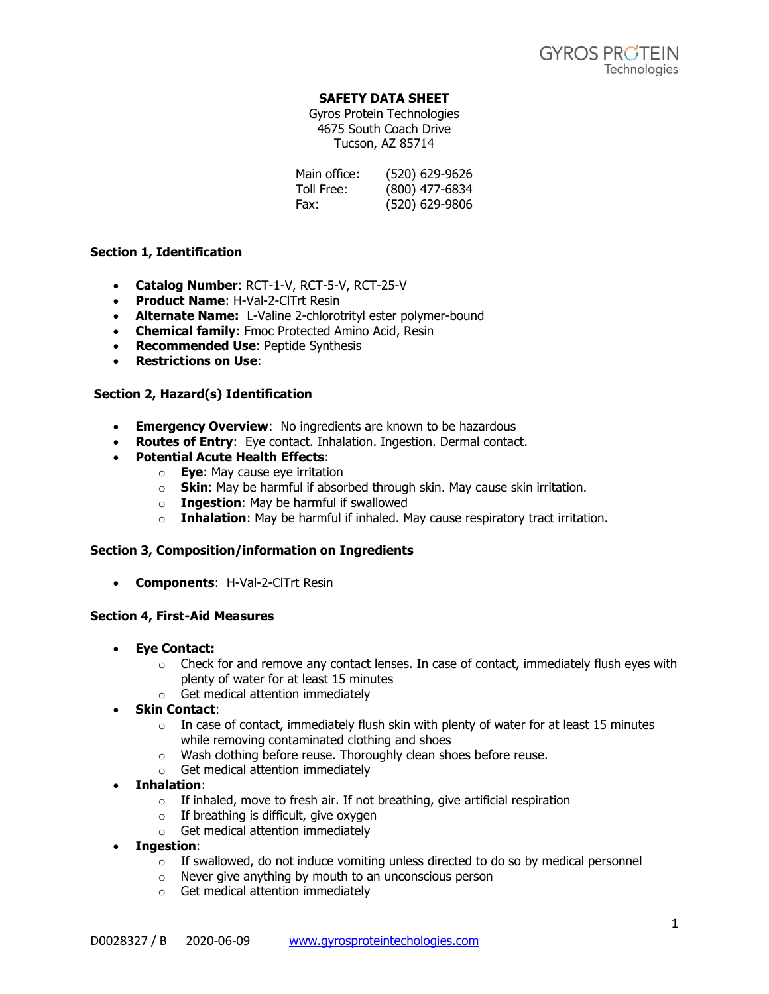# **SAFETY DATA SHEET**

Gyros Protein Technologies 4675 South Coach Drive Tucson, AZ 85714

| Main office: | (520) 629-9626 |
|--------------|----------------|
| Toll Free:   | (800) 477-6834 |
| Fax:         | (520) 629-9806 |

# **Section 1, Identification**

- **Catalog Number**: RCT-1-V, RCT-5-V, RCT-25-V
- **Product Name**: H-Val-2-ClTrt Resin
- **Alternate Name:** L-Valine 2-chlorotrityl ester polymer-bound
- **Chemical family**: Fmoc Protected Amino Acid, Resin
- **Recommended Use**: Peptide Synthesis
- **Restrictions on Use**:

### **Section 2, Hazard(s) Identification**

- **Emergency Overview**: No ingredients are known to be hazardous
- **Routes of Entry**: Eye contact. Inhalation. Ingestion. Dermal contact.
- **Potential Acute Health Effects**:
	- o **Eye**: May cause eye irritation
		- o **Skin**: May be harmful if absorbed through skin. May cause skin irritation.
		- o **Ingestion**: May be harmful if swallowed
		- o **Inhalation**: May be harmful if inhaled. May cause respiratory tract irritation.

#### **Section 3, Composition/information on Ingredients**

• **Components**: H-Val-2-ClTrt Resin

#### **Section 4, First-Aid Measures**

- **Eye Contact:** 
	- $\circ$  Check for and remove any contact lenses. In case of contact, immediately flush eyes with plenty of water for at least 15 minutes
	- o Get medical attention immediately
- **Skin Contact**:
	- $\circ$  In case of contact, immediately flush skin with plenty of water for at least 15 minutes while removing contaminated clothing and shoes
	- o Wash clothing before reuse. Thoroughly clean shoes before reuse.
	- o Get medical attention immediately
- **Inhalation**:
	- $\circ$  If inhaled, move to fresh air. If not breathing, give artificial respiration
	- $\circ$  If breathing is difficult, give oxygen
	- o Get medical attention immediately
- **Ingestion**:
	- $\circ$  If swallowed, do not induce vomiting unless directed to do so by medical personnel
	- o Never give anything by mouth to an unconscious person
	- o Get medical attention immediately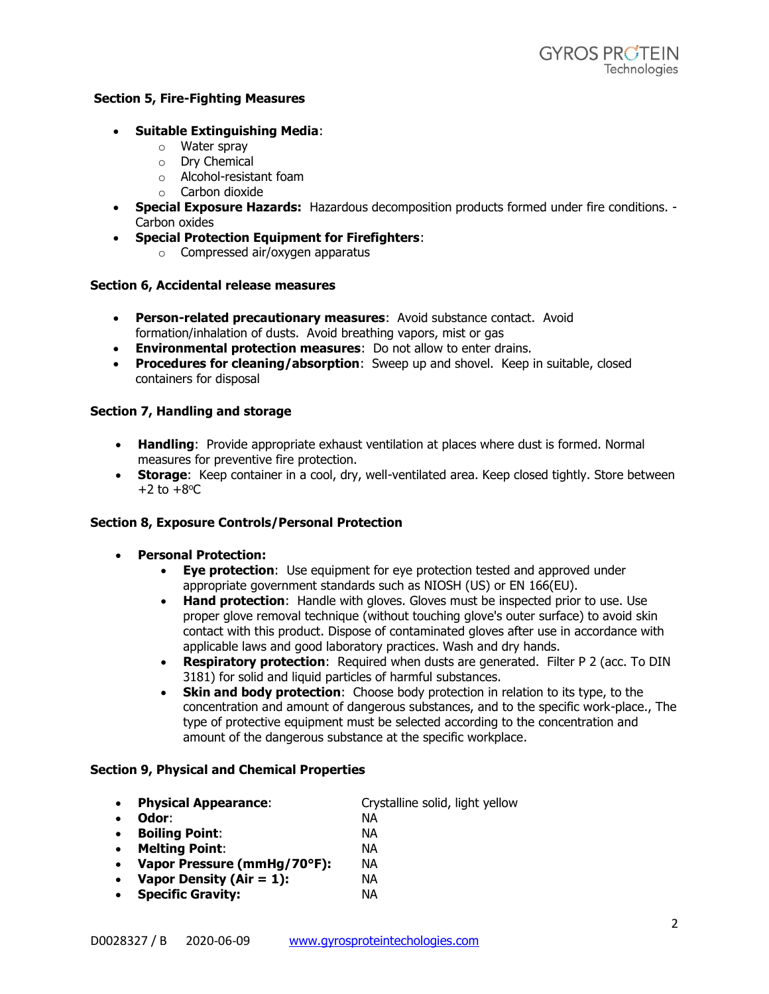# **Section 5, Fire-Fighting Measures**

- **Suitable Extinguishing Media**:
	- o Water spray
	- o Dry Chemical
	- o Alcohol-resistant foam
	- o Carbon dioxide
- **Special Exposure Hazards:** Hazardous decomposition products formed under fire conditions. Carbon oxides
- **Special Protection Equipment for Firefighters**:
	- o Compressed air/oxygen apparatus

#### **Section 6, Accidental release measures**

- **Person-related precautionary measures**: Avoid substance contact. Avoid formation/inhalation of dusts. Avoid breathing vapors, mist or gas
- **Environmental protection measures**: Do not allow to enter drains.
- **Procedures for cleaning/absorption**: Sweep up and shovel. Keep in suitable, closed containers for disposal

### **Section 7, Handling and storage**

- **Handling**: Provide appropriate exhaust ventilation at places where dust is formed. Normal measures for preventive fire protection.
- **Storage:** Keep container in a cool, dry, well-ventilated area. Keep closed tightly. Store between  $+2$  to  $+8$ <sup>o</sup>C

#### **Section 8, Exposure Controls/Personal Protection**

- **Personal Protection:**
	- **Eye protection**: Use equipment for eye protection tested and approved under appropriate government standards such as NIOSH (US) or EN 166(EU).
	- **Hand protection**: Handle with gloves. Gloves must be inspected prior to use. Use proper glove removal technique (without touching glove's outer surface) to avoid skin contact with this product. Dispose of contaminated gloves after use in accordance with applicable laws and good laboratory practices. Wash and dry hands.
	- **Respiratory protection**: Required when dusts are generated. Filter P 2 (acc. To DIN 3181) for solid and liquid particles of harmful substances.
	- **Skin and body protection**: Choose body protection in relation to its type, to the concentration and amount of dangerous substances, and to the specific work-place., The type of protective equipment must be selected according to the concentration and amount of the dangerous substance at the specific workplace.

#### **Section 9, Physical and Chemical Properties**

- **Physical Appearance**: Crystalline solid, light yellow
- **Odor**: NA
- **Boiling Point**: NA
- **Melting Point**: NA • **Vapor Pressure (mmHg/70°F):** NA
- **Vapor Density (Air = 1):** NA
- **Specific Gravity:** NA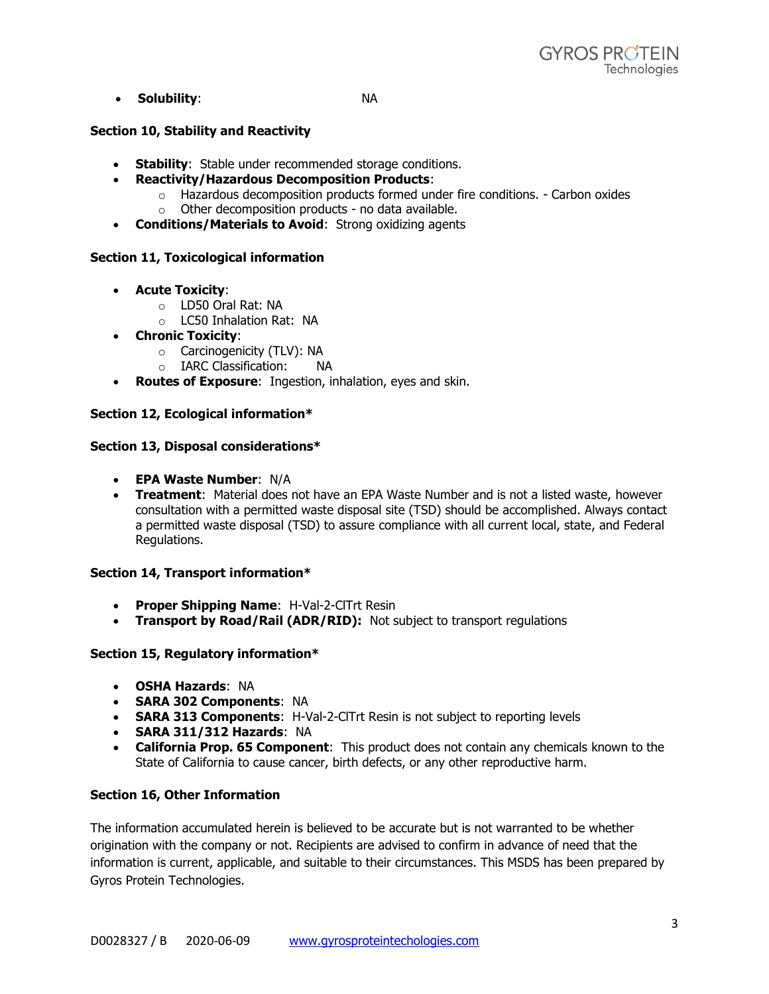• **Solubility**: NA

# **Section 10, Stability and Reactivity**

- **Stability**: Stable under recommended storage conditions.
- **Reactivity/Hazardous Decomposition Products**:
	- $\circ$  Hazardous decomposition products formed under fire conditions. Carbon oxides o Other decomposition products - no data available.
- **Conditions/Materials to Avoid**: Strong oxidizing agents

# **Section 11, Toxicological information**

- **Acute Toxicity**:
	- o LD50 Oral Rat: NA
	- o LC50 Inhalation Rat: NA
- **Chronic Toxicity**:
	- o Carcinogenicity (TLV): NA
	- o IARC Classification: NA
- **Routes of Exposure**: Ingestion, inhalation, eyes and skin.

# **Section 12, Ecological information\***

# **Section 13, Disposal considerations\***

- **EPA Waste Number**: N/A
- **Treatment**: Material does not have an EPA Waste Number and is not a listed waste, however consultation with a permitted waste disposal site (TSD) should be accomplished. Always contact a permitted waste disposal (TSD) to assure compliance with all current local, state, and Federal Regulations.

# **Section 14, Transport information\***

- **Proper Shipping Name**: H-Val-2-ClTrt Resin
- **Transport by Road/Rail (ADR/RID):** Not subject to transport regulations

# **Section 15, Regulatory information\***

- **OSHA Hazards**: NA
- **SARA 302 Components**: NA
- **SARA 313 Components**: H-Val-2-ClTrt Resin is not subject to reporting levels
- **SARA 311/312 Hazards**: NA
- **California Prop. 65 Component**: This product does not contain any chemicals known to the State of California to cause cancer, birth defects, or any other reproductive harm.

# **Section 16, Other Information**

The information accumulated herein is believed to be accurate but is not warranted to be whether origination with the company or not. Recipients are advised to confirm in advance of need that the information is current, applicable, and suitable to their circumstances. This MSDS has been prepared by Gyros Protein Technologies.